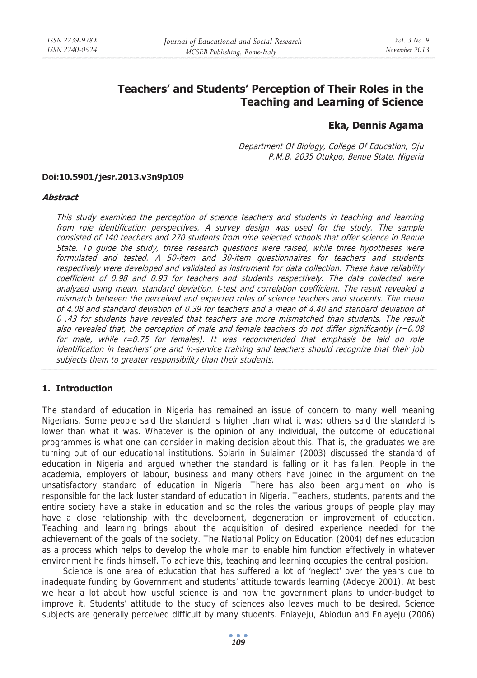# **Teachers' and Students' Perception of Their Roles in the Teaching and Learning of Science**

# **Eka, Dennis Agama**

Department Of Biology, College Of Education, Oju P.M.B. 2035 Otukpo, Benue State, Nigeria

#### **Doi:10.5901/jesr.2013.v3n9p109**

#### **Abstract**

This study examined the perception of science teachers and students in teaching and learning from role identification perspectives. A survey design was used for the study. The sample consisted of 140 teachers and 270 students from nine selected schools that offer science in Benue State. To guide the study, three research questions were raised, while three hypotheses were formulated and tested. A 50-item and 30-item questionnaires for teachers and students respectively were developed and validated as instrument for data collection. These have reliability coefficient of 0.98 and 0.93 for teachers and students respectively. The data collected were analyzed using mean, standard deviation, t-test and correlation coefficient. The result revealed a mismatch between the perceived and expected roles of science teachers and students. The mean of 4.08 and standard deviation of 0.39 for teachers and a mean of 4.40 and standard deviation of 0 .43 for students have revealed that teachers are more mismatched than students. The result also revealed that, the perception of male and female teachers do not differ significantly  $(r=0.08$ for male, while r=0.75 for females). It was recommended that emphasis be laid on role identification in teachers' pre and in-service training and teachers should recognize that their job subjects them to greater responsibility than their students.

# **1. Introduction**

The standard of education in Nigeria has remained an issue of concern to many well meaning Nigerians. Some people said the standard is higher than what it was; others said the standard is lower than what it was. Whatever is the opinion of any individual, the outcome of educational programmes is what one can consider in making decision about this. That is, the graduates we are turning out of our educational institutions. Solarin in Sulaiman (2003) discussed the standard of education in Nigeria and argued whether the standard is falling or it has fallen. People in the academia, employers of labour, business and many others have joined in the argument on the unsatisfactory standard of education in Nigeria. There has also been argument on who is responsible for the lack luster standard of education in Nigeria. Teachers, students, parents and the entire society have a stake in education and so the roles the various groups of people play may have a close relationship with the development, degeneration or improvement of education. Teaching and learning brings about the acquisition of desired experience needed for the achievement of the goals of the society. The National Policy on Education (2004) defines education as a process which helps to develop the whole man to enable him function effectively in whatever environment he finds himself. To achieve this, teaching and learning occupies the central position.

Science is one area of education that has suffered a lot of 'neglect' over the years due to inadequate funding by Government and students' attitude towards learning (Adeoye 2001). At best we hear a lot about how useful science is and how the government plans to under-budget to improve it. Students' attitude to the study of sciences also leaves much to be desired. Science subjects are generally perceived difficult by many students. Eniayeju, Abiodun and Eniayeju (2006)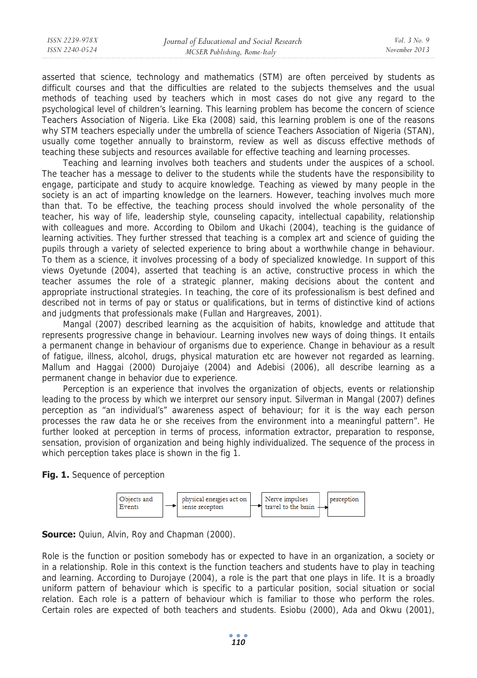asserted that science, technology and mathematics (STM) are often perceived by students as difficult courses and that the difficulties are related to the subjects themselves and the usual methods of teaching used by teachers which in most cases do not give any regard to the psychological level of children's learning. This learning problem has become the concern of science Teachers Association of Nigeria. Like Eka (2008) said, this learning problem is one of the reasons why STM teachers especially under the umbrella of science Teachers Association of Nigeria (STAN), usually come together annually to brainstorm, review as well as discuss effective methods of teaching these subjects and resources available for effective teaching and learning processes.

Teaching and learning involves both teachers and students under the auspices of a school. The teacher has a message to deliver to the students while the students have the responsibility to engage, participate and study to acquire knowledge. Teaching as viewed by many people in the society is an act of imparting knowledge on the learners. However, teaching involves much more than that. To be effective, the teaching process should involved the whole personality of the teacher, his way of life, leadership style, counseling capacity, intellectual capability, relationship with colleagues and more. According to Obilom and Ukachi (2004), teaching is the guidance of learning activities. They further stressed that teaching is a complex art and science of guiding the pupils through a variety of selected experience to bring about a worthwhile change in behaviour. To them as a science, it involves processing of a body of specialized knowledge. In support of this views Oyetunde (2004), asserted that teaching is an active, constructive process in which the teacher assumes the role of a strategic planner, making decisions about the content and appropriate instructional strategies. In teaching, the core of its professionalism is best defined and described not in terms of pay or status or qualifications, but in terms of distinctive kind of actions and judgments that professionals make (Fullan and Hargreaves, 2001).

Mangal (2007) described learning as the acquisition of habits, knowledge and attitude that represents progressive change in behaviour. Learning involves new ways of doing things. It entails a permanent change in behaviour of organisms due to experience. Change in behaviour as a result of fatigue, illness, alcohol, drugs, physical maturation etc are however not regarded as learning. Mallum and Haggai (2000) Durojaiye (2004) and Adebisi (2006), all describe learning as a permanent change in behavior due to experience.

Perception is an experience that involves the organization of objects, events or relationship leading to the process by which we interpret our sensory input. Silverman in Mangal (2007) defines perception as "an individual's" awareness aspect of behaviour; for it is the way each person processes the raw data he or she receives from the environment into a meaningful pattern". He further looked at perception in terms of process, information extractor, preparation to response, sensation, provision of organization and being highly individualized. The sequence of the process in which perception takes place is shown in the fig 1.

## **Fig. 1.** Sequence of perception



# **Source:** Quiun, Alvin, Roy and Chapman (2000).

Role is the function or position somebody has or expected to have in an organization, a society or in a relationship. Role in this context is the function teachers and students have to play in teaching and learning. According to Durojaye (2004), a role is the part that one plays in life. It is a broadly uniform pattern of behaviour which is specific to a particular position, social situation or social relation. Each role is a pattern of behaviour which is familiar to those who perform the roles. Certain roles are expected of both teachers and students. Esiobu (2000), Ada and Okwu (2001),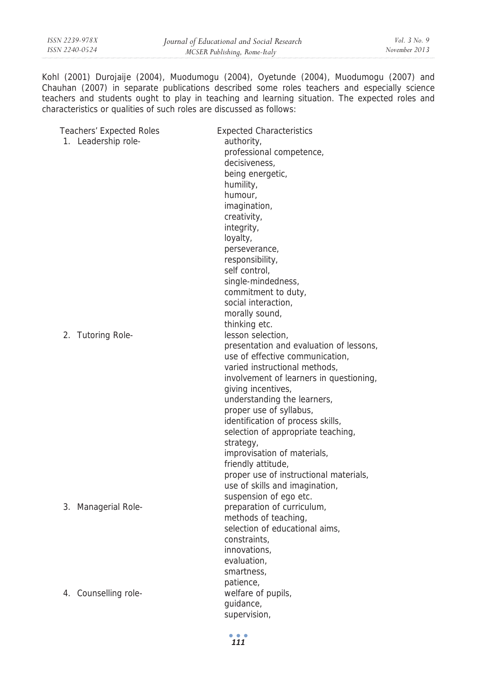Kohl (2001) Durojaije (2004), Muodumogu (2004), Oyetunde (2004), Muodumogu (2007) and Chauhan (2007) in separate publications described some roles teachers and especially science teachers and students ought to play in teaching and learning situation. The expected roles and characteristics or qualities of such roles are discussed as follows:

| <b>Teachers' Expected Roles</b> | <b>Expected Characteristics</b>         |
|---------------------------------|-----------------------------------------|
| 1. Leadership role-             | authority,                              |
|                                 | professional competence,                |
|                                 | decisiveness,                           |
|                                 | being energetic,                        |
|                                 | humility,                               |
|                                 | humour.                                 |
|                                 | imagination,                            |
|                                 | creativity,                             |
|                                 | integrity,                              |
|                                 | loyalty,                                |
|                                 | perseverance,                           |
|                                 | responsibility,                         |
|                                 | self control,                           |
|                                 | single-mindedness,                      |
|                                 | commitment to duty,                     |
|                                 | social interaction,                     |
|                                 | morally sound,                          |
|                                 | thinking etc.                           |
| 2. Tutoring Role-               | lesson selection,                       |
|                                 | presentation and evaluation of lessons, |
|                                 | use of effective communication,         |
|                                 | varied instructional methods.           |
|                                 | involvement of learners in questioning, |
|                                 | giving incentives,                      |
|                                 | understanding the learners,             |
|                                 | proper use of syllabus,                 |
|                                 | identification of process skills,       |
|                                 | selection of appropriate teaching,      |
|                                 | strategy,                               |
|                                 | improvisation of materials,             |
|                                 | friendly attitude,                      |
|                                 | proper use of instructional materials,  |
|                                 | use of skills and imagination,          |
|                                 | suspension of ego etc.                  |
| 3. Managerial Role-             | preparation of curriculum,              |
|                                 | methods of teaching,                    |
|                                 | selection of educational aims,          |
|                                 | constraints,                            |
|                                 | innovations,                            |
|                                 | evaluation,                             |
|                                 | smartness,                              |
|                                 | patience,                               |
| 4. Counselling role-            | welfare of pupils,                      |
|                                 | guidance,                               |
|                                 | supervision,                            |
|                                 |                                         |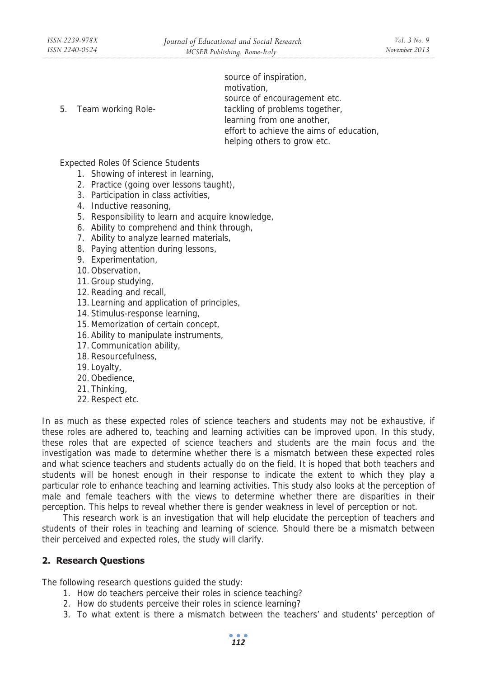source of inspiration, motivation, source of encouragement etc. 5. Team working Role- tackling of problems together, learning from one another, effort to achieve the aims of education, helping others to grow etc.

Expected Roles 0f Science Students

- 1. Showing of interest in learning,
- 2. Practice (going over lessons taught),
- 3. Participation in class activities,
- 4. Inductive reasoning,
- 5. Responsibility to learn and acquire knowledge,
- 6. Ability to comprehend and think through,
- 7. Ability to analyze learned materials,
- 8. Paying attention during lessons,
- 9. Experimentation,
- 10. Observation,
- 11. Group studying,
- 12. Reading and recall,
- 13. Learning and application of principles,
- 14. Stimulus-response learning,
- 15. Memorization of certain concept,
- 16. Ability to manipulate instruments,
- 17. Communication ability,
- 18. Resourcefulness,
- 19. Loyalty,
- 20. Obedience,
- 21. Thinking,
- 22. Respect etc.

In as much as these expected roles of science teachers and students may not be exhaustive, if these roles are adhered to, teaching and learning activities can be improved upon. In this study, these roles that are expected of science teachers and students are the main focus and the investigation was made to determine whether there is a mismatch between these expected roles and what science teachers and students actually do on the field. It is hoped that both teachers and students will be honest enough in their response to indicate the extent to which they play a particular role to enhance teaching and learning activities. This study also looks at the perception of male and female teachers with the views to determine whether there are disparities in their perception. This helps to reveal whether there is gender weakness in level of perception or not.

This research work is an investigation that will help elucidate the perception of teachers and students of their roles in teaching and learning of science. Should there be a mismatch between their perceived and expected roles, the study will clarify.

## **2. Research Questions**

The following research questions guided the study:

- 1. How do teachers perceive their roles in science teaching?
- 2. How do students perceive their roles in science learning?
- 3. To what extent is there a mismatch between the teachers' and students' perception of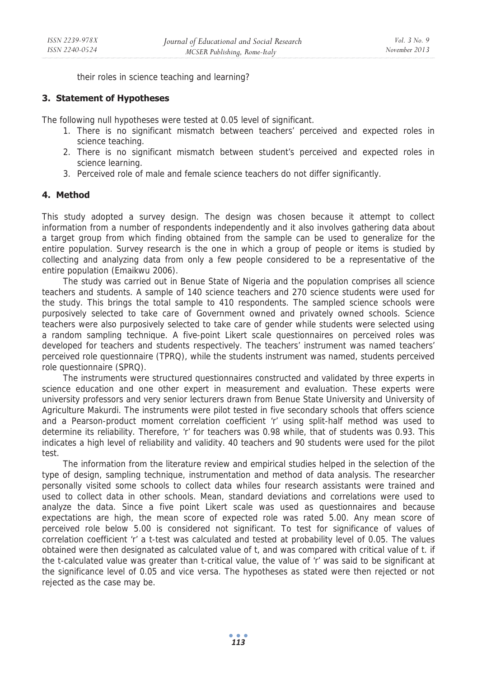their roles in science teaching and learning?

# **3. Statement of Hypotheses**

The following null hypotheses were tested at 0.05 level of significant.

- 1. There is no significant mismatch between teachers' perceived and expected roles in science teaching.
- 2. There is no significant mismatch between student's perceived and expected roles in science learning.
- 3. Perceived role of male and female science teachers do not differ significantly.

## **4. Method**

This study adopted a survey design. The design was chosen because it attempt to collect information from a number of respondents independently and it also involves gathering data about a target group from which finding obtained from the sample can be used to generalize for the entire population. Survey research is the one in which a group of people or items is studied by collecting and analyzing data from only a few people considered to be a representative of the entire population (Emaikwu 2006).

The study was carried out in Benue State of Nigeria and the population comprises all science teachers and students. A sample of 140 science teachers and 270 science students were used for the study. This brings the total sample to 410 respondents. The sampled science schools were purposively selected to take care of Government owned and privately owned schools. Science teachers were also purposively selected to take care of gender while students were selected using a random sampling technique. A five-point Likert scale questionnaires on perceived roles was developed for teachers and students respectively. The teachers' instrument was named teachers' perceived role questionnaire (TPRQ), while the students instrument was named, students perceived role questionnaire (SPRQ).

The instruments were structured questionnaires constructed and validated by three experts in science education and one other expert in measurement and evaluation. These experts were university professors and very senior lecturers drawn from Benue State University and University of Agriculture Makurdi. The instruments were pilot tested in five secondary schools that offers science and a Pearson-product moment correlation coefficient 'r' using split-half method was used to determine its reliability. Therefore, 'r' for teachers was 0.98 while, that of students was 0.93. This indicates a high level of reliability and validity. 40 teachers and 90 students were used for the pilot test.

The information from the literature review and empirical studies helped in the selection of the type of design, sampling technique, instrumentation and method of data analysis. The researcher personally visited some schools to collect data whiles four research assistants were trained and used to collect data in other schools. Mean, standard deviations and correlations were used to analyze the data. Since a five point Likert scale was used as questionnaires and because expectations are high, the mean score of expected role was rated 5.00. Any mean score of perceived role below 5.00 is considered not significant. To test for significance of values of correlation coefficient 'r' a t-test was calculated and tested at probability level of 0.05. The values obtained were then designated as calculated value of t, and was compared with critical value of t. if the t-calculated value was greater than t-critical value, the value of 'r' was said to be significant at the significance level of 0.05 and vice versa. The hypotheses as stated were then rejected or not rejected as the case may be.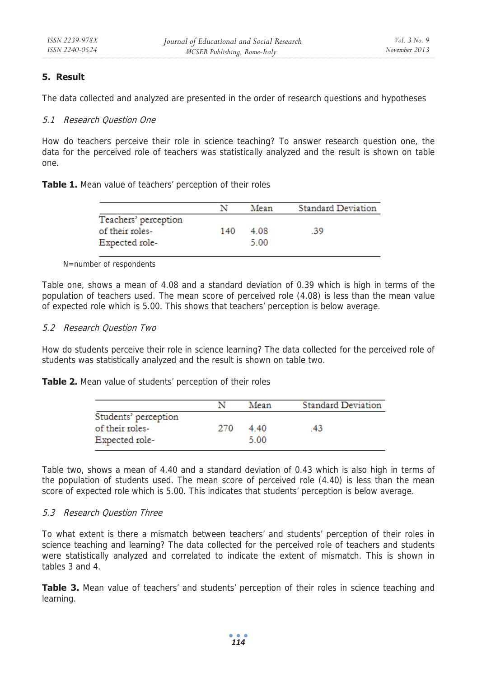# **5. Result**

The data collected and analyzed are presented in the order of research questions and hypotheses

# 5.1 Research Question One

How do teachers perceive their role in science teaching? To answer research question one, the data for the perceived role of teachers was statistically analyzed and the result is shown on table one.

|                      |     | Mean | <b>Standard Deviation</b> |
|----------------------|-----|------|---------------------------|
| Teachers' perception |     |      |                           |
| of their roles-      | 140 | 4.08 | -39                       |
| Expected role-       |     | 5.00 |                           |
|                      |     |      |                           |

N=number of respondents

Table one, shows a mean of 4.08 and a standard deviation of 0.39 which is high in terms of the population of teachers used. The mean score of perceived role (4.08) is less than the mean value of expected role which is 5.00. This shows that teachers' perception is below average.

## 5.2 Research Question Two

How do students perceive their role in science learning? The data collected for the perceived role of students was statistically analyzed and the result is shown on table two.

**Table 2.** Mean value of students' perception of their roles

|                      |     | Mean | <b>Standard Deviation</b> |
|----------------------|-----|------|---------------------------|
| Students' perception |     |      |                           |
| of their roles-      | 270 | 4.40 | 43                        |
| Expected role-       |     | 5.00 |                           |

Table two, shows a mean of 4.40 and a standard deviation of 0.43 which is also high in terms of the population of students used. The mean score of perceived role (4.40) is less than the mean score of expected role which is 5.00. This indicates that students' perception is below average.

## 5.3 Research Question Three

To what extent is there a mismatch between teachers' and students' perception of their roles in science teaching and learning? The data collected for the perceived role of teachers and students were statistically analyzed and correlated to indicate the extent of mismatch. This is shown in tables 3 and 4.

**Table 3.** Mean value of teachers' and students' perception of their roles in science teaching and learning.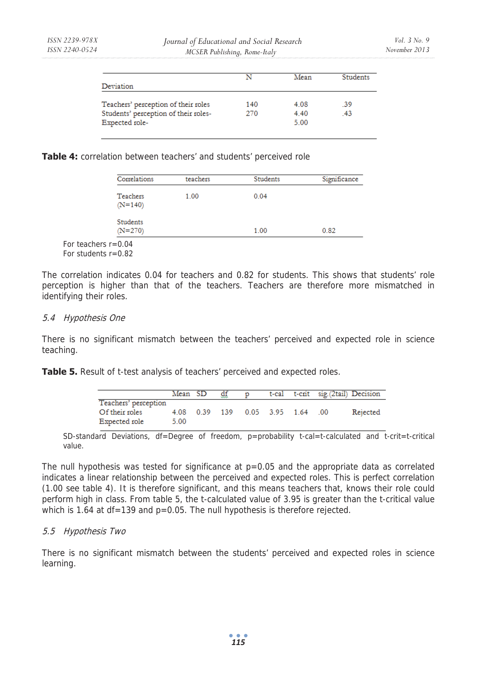|                                      | N   | Mean | <b>Students</b> |
|--------------------------------------|-----|------|-----------------|
| Deviation                            |     |      |                 |
| Teachers' perception of their roles  | 140 | 4.08 | .39             |
| Students' perception of their roles- | 270 | 4.40 | .43             |
| Expected role-                       |     | 5.00 |                 |

#### **Table 4:** correlation between teachers' and students' perceived role

|                         | Correlations                 | teachers | Students | Significance |
|-------------------------|------------------------------|----------|----------|--------------|
|                         | Teachers<br>$(N=140)$        | 1.00     | 0.04     |              |
|                         | <b>Students</b><br>$(N=270)$ |          | 1.00     | 0.82         |
| For teachers $r = 0.04$ |                              |          |          |              |

For students  $r=0.82$ 

The correlation indicates 0.04 for teachers and 0.82 for students. This shows that students' role perception is higher than that of the teachers. Teachers are therefore more mismatched in identifying their roles.

#### 5.4 Hypothesis One

There is no significant mismatch between the teachers' perceived and expected role in science teaching.

Table 5. Result of t-test analysis of teachers' perceived and expected roles.

|                      | Mean SD | ₫f | D |                              | t-cal t-crit sig. (2tail) Decision |          |
|----------------------|---------|----|---|------------------------------|------------------------------------|----------|
| Teachers' perception |         |    |   |                              |                                    |          |
| Of their roles       |         |    |   | 4.08 0.39 139 0.05 3.95 1.64 | - 00                               | Rejected |
| Expected role        | 5.00    |    |   |                              |                                    |          |

SD-standard Deviations, df=Degree of freedom,  $p=$ probability t-cal=t-calculated and t-crit=t-critical value.

The null hypothesis was tested for significance at  $p=0.05$  and the appropriate data as correlated indicates a linear relationship between the perceived and expected roles. This is perfect correlation (1.00 see table 4). It is therefore significant, and this means teachers that, knows their role could perform high in class. From table 5, the t-calculated value of 3.95 is greater than the t-critical value which is 1.64 at df=139 and p=0.05. The null hypothesis is therefore rejected.

## 5.5 Hypothesis Two

There is no significant mismatch between the students' perceived and expected roles in science learning.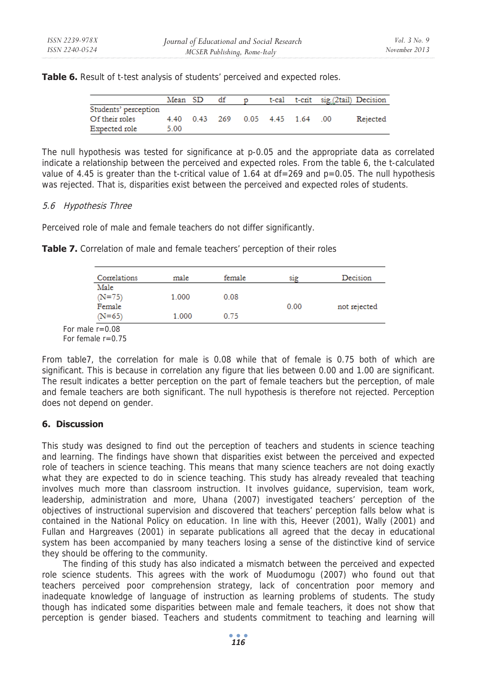Table 6. Result of t-test analysis of students' perceived and expected roles.

|                      | Mean SD | df |                              |  |      | t-cal t-crit sig.(2tail) Decision |
|----------------------|---------|----|------------------------------|--|------|-----------------------------------|
| Students' perception |         |    |                              |  |      |                                   |
| Of their roles       |         |    | 4.40 0.43 269 0.05 4.45 1.64 |  | - 00 | Rejected                          |
| Expected role        | 5.00    |    |                              |  |      |                                   |

The null hypothesis was tested for significance at p-0.05 and the appropriate data as correlated indicate a relationship between the perceived and expected roles. From the table 6, the t-calculated value of 4.45 is greater than the t-critical value of 1.64 at  $df = 269$  and  $p = 0.05$ . The null hypothesis was rejected. That is, disparities exist between the perceived and expected roles of students.

## 5.6 Hypothesis Three

Perceived role of male and female teachers do not differ significantly.

| Correlations | male  | female | S <sub>1</sub> g | Decision     |
|--------------|-------|--------|------------------|--------------|
| Male         |       |        |                  |              |
| $(N=75)$     | 1.000 | 0.08   |                  |              |
| Female       |       |        | 0.00             | not rejected |
| $(N=65)$     | 1.000 | 0.75   |                  |              |

**Table 7.** Correlation of male and female teachers' perception of their roles

 $For$ For female r=0.75

From table7, the correlation for male is 0.08 while that of female is 0.75 both of which are significant. This is because in correlation any figure that lies between 0.00 and 1.00 are significant. The result indicates a better perception on the part of female teachers but the perception, of male and female teachers are both significant. The null hypothesis is therefore not rejected. Perception does not depend on gender.

# **6. Discussion**

This study was designed to find out the perception of teachers and students in science teaching and learning. The findings have shown that disparities exist between the perceived and expected role of teachers in science teaching. This means that many science teachers are not doing exactly what they are expected to do in science teaching. This study has already revealed that teaching involves much more than classroom instruction. It involves guidance, supervision, team work, leadership, administration and more, Uhana (2007) investigated teachers' perception of the objectives of instructional supervision and discovered that teachers' perception falls below what is contained in the National Policy on education. In line with this, Heever (2001), Wally (2001) and Fullan and Hargreaves (2001) in separate publications all agreed that the decay in educational system has been accompanied by many teachers losing a sense of the distinctive kind of service they should be offering to the community.

The finding of this study has also indicated a mismatch between the perceived and expected role science students. This agrees with the work of Muodumogu (2007) who found out that teachers perceived poor comprehension strategy, lack of concentration poor memory and inadequate knowledge of language of instruction as learning problems of students. The study though has indicated some disparities between male and female teachers, it does not show that perception is gender biased. Teachers and students commitment to teaching and learning will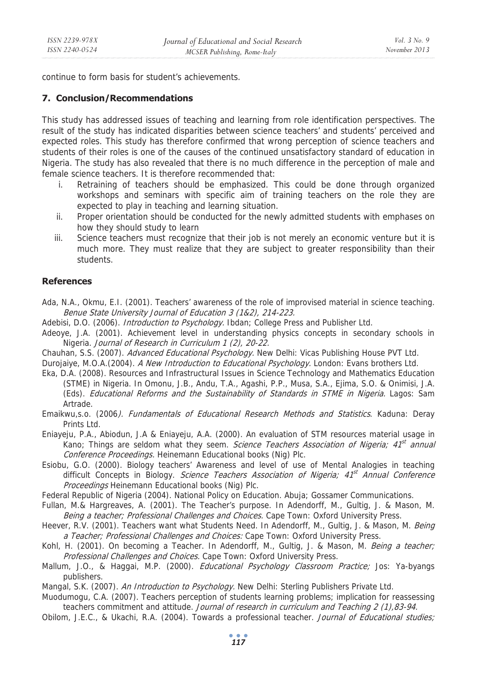continue to form basis for student's achievements.

# **7. Conclusion/Recommendations**

This study has addressed issues of teaching and learning from role identification perspectives. The result of the study has indicated disparities between science teachers' and students' perceived and expected roles. This study has therefore confirmed that wrong perception of science teachers and students of their roles is one of the causes of the continued unsatisfactory standard of education in Nigeria. The study has also revealed that there is no much difference in the perception of male and female science teachers. It is therefore recommended that:

- i. Retraining of teachers should be emphasized. This could be done through organized workshops and seminars with specific aim of training teachers on the role they are expected to play in teaching and learning situation.
- ii. Proper orientation should be conducted for the newly admitted students with emphases on how they should study to learn
- iii. Science teachers must recognize that their job is not merely an economic venture but it is much more. They must realize that they are subject to greater responsibility than their students.

# **References**

- Ada, N.A., Okmu, E.I. (2001). Teachers' awareness of the role of improvised material in science teaching. Benue State University Journal of Education 3 (1&2), 214-223.
- Adebisi, D.O. (2006). *Introduction to Psychology*. Ibdan; College Press and Publisher Ltd.
- Adeoye, J.A. (2001). Achievement level in understanding physics concepts in secondary schools in Nigeria. Journal of Research in Curriculum 1 (2), 20-22.
- Chauhan, S.S. (2007). Advanced Educational Psychology. New Delhi: Vicas Publishing House PVT Ltd.
- Durojaiye, M.O.A.(2004). A New Introduction to Educational Psychology. London: Evans brothers Ltd.
- Eka, D.A. (2008). Resources and Infrastructural Issues in Science Technology and Mathematics Education (STME) in Nigeria. In Omonu, J.B., Andu, T.A., Agashi, P.P., Musa, S.A., Ejima, S.O. & Onimisi, J.A. (Eds). Educational Reforms and the Sustainability of Standards in STME in Nigeria. Lagos: Sam Artrade.
- Emaikwu,s.o. (2006*). Fundamentals of Educational Research Methods and Statistics*. Kaduna: Deray Prints Ltd.
- Eniayeju, P.A., Abiodun, J.A & Eniayeju, A.A. (2000). An evaluation of STM resources material usage in Kano; Things are seldom what they seem. Science Teachers Association of Nigeria; 41<sup>st</sup> annual Conference Proceedings. Heinemann Educational books (Nig) Plc.
- Esiobu, G.O. (2000). Biology teachers' Awareness and level of use of Mental Analogies in teaching difficult Concepts in Biology. Science Teachers Association of Nigeria;  $41<sup>st</sup>$  Annual Conference Proceedings Heinemann Educational books (Nig) Plc.
- Federal Republic of Nigeria (2004). National Policy on Education. Abuja; Gossamer Communications.
- Fullan, M.& Hargreaves, A. (2001). The Teacher's purpose. In Adendorff, M., Gultig, J. & Mason, M. Being a teacher; Professional Challenges and Choices. Cape Town: Oxford University Press.
- Heever, R.V. (2001). Teachers want what Students Need. In Adendorff, M., Gultig, J. & Mason, M. Being a Teacher; Professional Challenges and Choices: Cape Town: Oxford University Press.
- Kohl, H. (2001). On becoming a Teacher. In Adendorff, M., Gultig, J. & Mason, M. Being a teacher; Professional Challenges and Choices. Cape Town: Oxford University Press.
- Mallum, J.O., & Haggai, M.P. (2000). *Educational Psychology Classroom Practice;* Jos: Ya-byangs publishers.
- Mangal, S.K. (2007). An Introduction to Psychology. New Delhi: Sterling Publishers Private Ltd.
- Muodumogu, C.A. (2007). Teachers perception of students learning problems; implication for reassessing teachers commitment and attitude. Journal of research in curriculum and Teaching 2 (1),83-94.
- Obilom, J.E.C., & Ukachi, R.A. (2004). Towards a professional teacher. Journal of Educational studies;